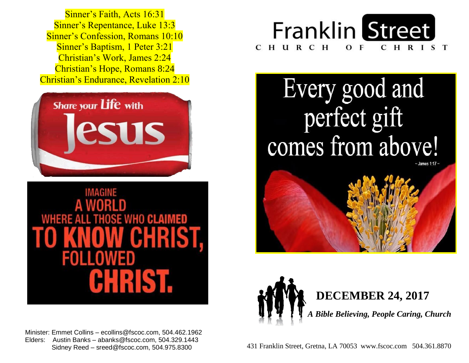Sinner's Confession, Romans 10:10  Sinner's Baptism, 1 Peter 3:21  Christian's Work, James 2:24  Christian's Hope, Romans 8:24  Christian's Endurance, Revelation 2:10 Sinner's Faith, Acts 16:31 Sinner's Repentance, Luke 13:3





 Minister: Emmet Collins – ecollins@fscoc.com, 504.462.1962  Elders: Austin Banks – abanks@fscoc.com, 504.329.1443 Sidney Reed – sreed@fscoc.com, 504.975.8300



Every good and perfect gift comes from above!





 431 Franklin Street, Gretna, LA 70053 www.fscoc.com 504.361.8870